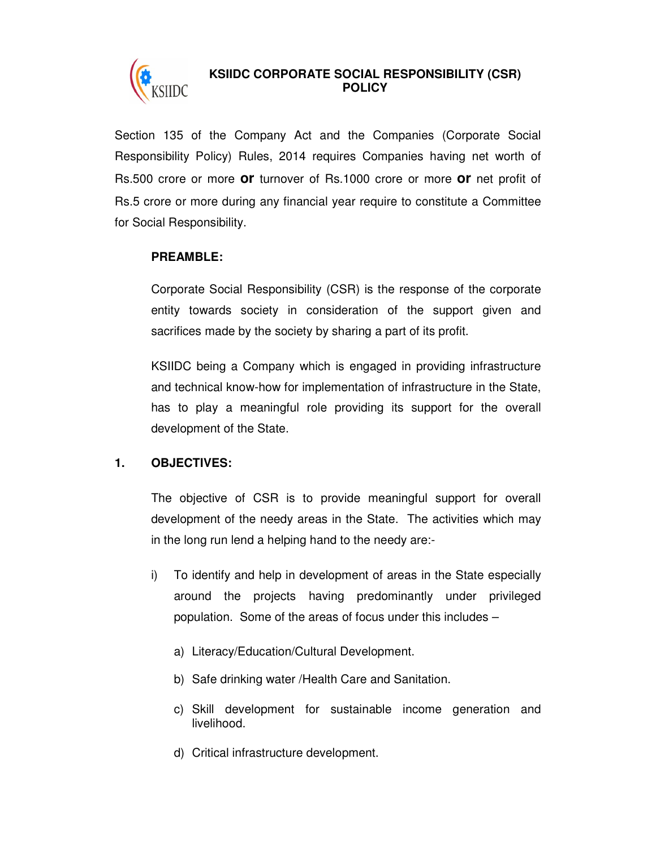

# **KSIIDC CORPORATE SOCIAL RESPONSIBILITY (CSR) POLICY**

Section 135 of the Company Act and the Companies (Corporate Social Responsibility Policy) Rules, 2014 requires Companies having net worth of Rs.500 crore or more **or** turnover of Rs.1000 crore or more **or** net profit of Rs.5 crore or more during any financial year require to constitute a Committee for Social Responsibility.

### **PREAMBLE:**

Corporate Social Responsibility (CSR) is the response of the corporate entity towards society in consideration of the support given and sacrifices made by the society by sharing a part of its profit.

KSIIDC being a Company which is engaged in providing infrastructure and technical know-how for implementation of infrastructure in the State, has to play a meaningful role providing its support for the overall development of the State.

### **1. OBJECTIVES:**

The objective of CSR is to provide meaningful support for overall development of the needy areas in the State. The activities which may in the long run lend a helping hand to the needy are:-

- i) To identify and help in development of areas in the State especially around the projects having predominantly under privileged population. Some of the areas of focus under this includes –
	- a) Literacy/Education/Cultural Development.
	- b) Safe drinking water /Health Care and Sanitation.
	- c) Skill development for sustainable income generation and livelihood.
	- d) Critical infrastructure development.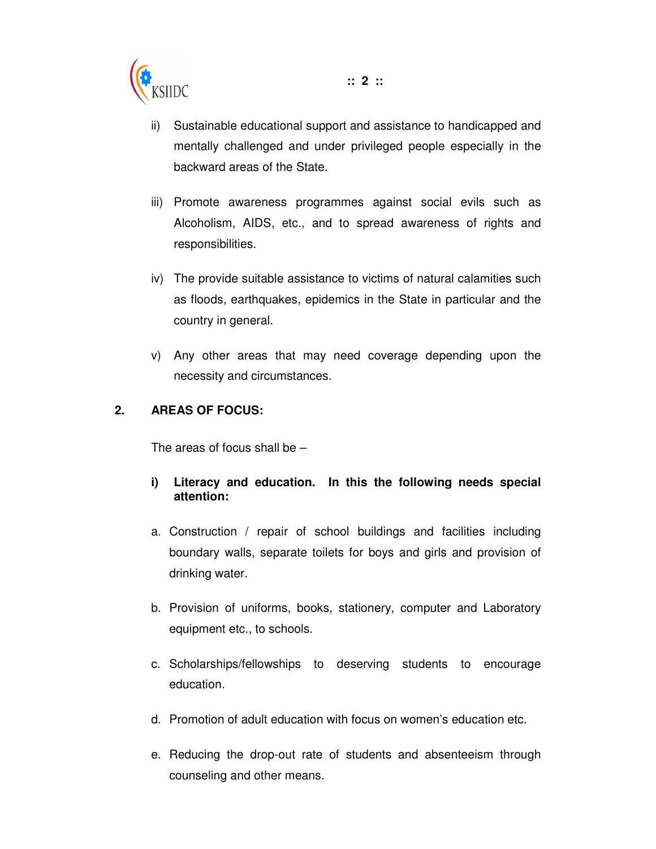

- ii) Sustainable educational support and assistance to handicapped and mentally challenged and under privileged people especially in the backward areas of the State.
- iii) Promote awareness programmes against social evils such as Alcoholism, AIDS, etc., and to spread awareness of rights and responsibilities.
- iv) The provide suitable assistance to victims of natural calamities such as floods, earthquakes, epidemics in the State in particular and the country in general.
- v) Any other areas that may need coverage depending upon the necessity and circumstances.

### **2. AREAS OF FOCUS:**

The areas of focus shall be  $-$ 

- **i) Literacy and education. In this the following needs special attention:**
- a. Construction / repair of school buildings and facilities including boundary walls, separate toilets for boys and girls and provision of drinking water.
- b. Provision of uniforms, books, stationery, computer and Laboratory equipment etc., to schools.
- c. Scholarships/fellowships to deserving students to encourage education.
- d. Promotion of adult education with focus on women's education etc.
- e. Reducing the drop-out rate of students and absenteeism through counseling and other means.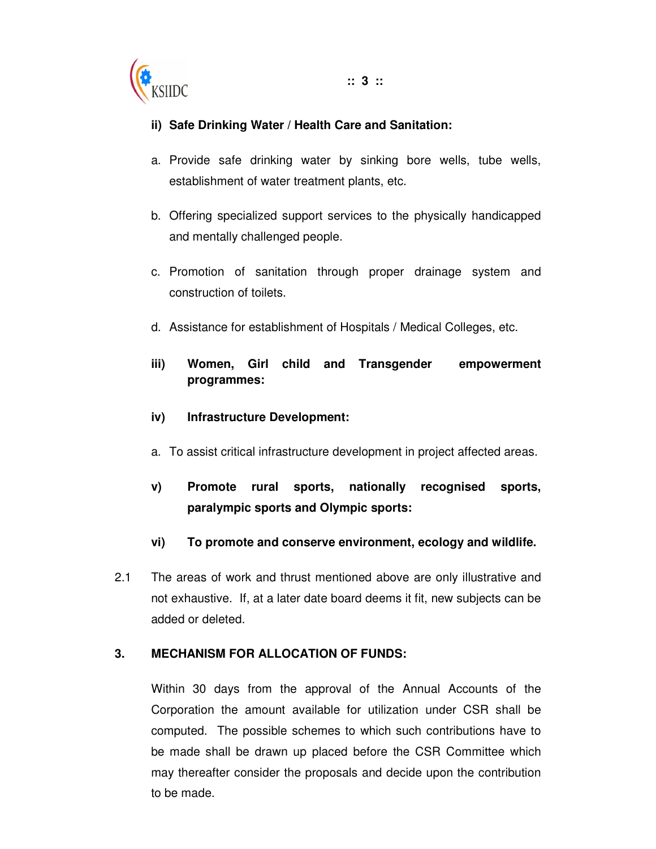

### **ii) Safe Drinking Water / Health Care and Sanitation:**

- a. Provide safe drinking water by sinking bore wells, tube wells, establishment of water treatment plants, etc.
- b. Offering specialized support services to the physically handicapped and mentally challenged people.
- c. Promotion of sanitation through proper drainage system and construction of toilets.
- d. Assistance for establishment of Hospitals / Medical Colleges, etc.
- **iii) Women, Girl child and Transgender empowerment programmes:**

#### **iv) Infrastructure Development:**

- a. To assist critical infrastructure development in project affected areas.
- **v) Promote rural sports, nationally recognised sports, paralympic sports and Olympic sports:**
- **vi) To promote and conserve environment, ecology and wildlife.**
- 2.1 The areas of work and thrust mentioned above are only illustrative and not exhaustive. If, at a later date board deems it fit, new subjects can be added or deleted.

#### **3. MECHANISM FOR ALLOCATION OF FUNDS:**

Within 30 days from the approval of the Annual Accounts of the Corporation the amount available for utilization under CSR shall be computed. The possible schemes to which such contributions have to be made shall be drawn up placed before the CSR Committee which may thereafter consider the proposals and decide upon the contribution to be made.